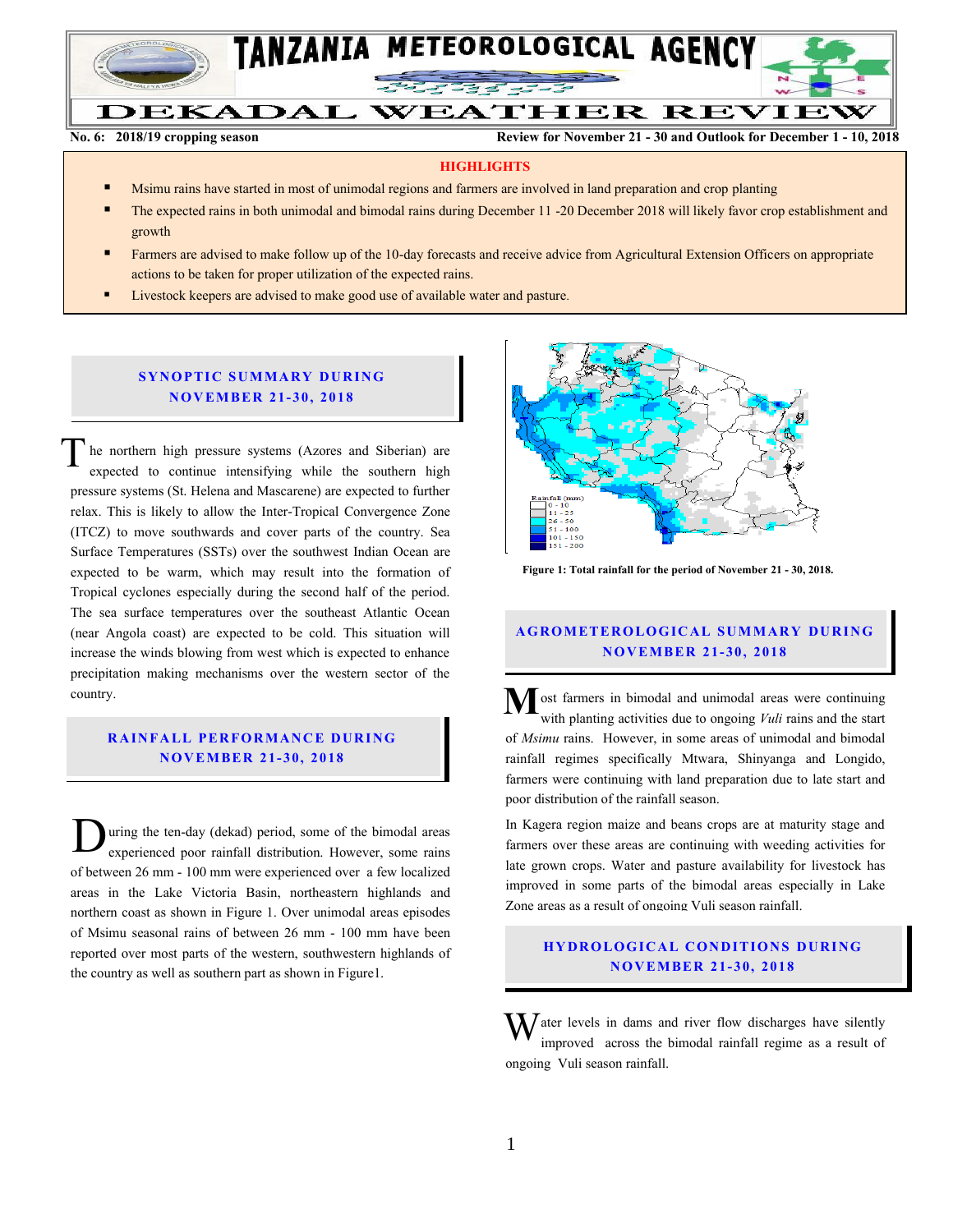

**No. 6: 2018/19 cropping season Review for November 21 - 30 and Outlook for December 1 - 10, 2018**

#### **HIGHLIGHTS**

- Msimu rains have started in most of unimodal regions and farmers are involved in land preparation and crop planting
- The expected rains in both unimodal and bimodal rains during December 11 -20 December 2018 will likely favor crop establishment and growth
- Farmers are advised to make follow up of the 10-day forecasts and receive advice from Agricultural Extension Officers on appropriate actions to be taken for proper utilization of the expected rains.
- Livestock keepers are advised to make good use of available water and pasture.

### **SYNOPTIC SUMMARY DURING N O V EMBER 21- 30, 201 8**

he northern high pressure systems (Azores and Siberian) are expected to continue intensifying while the southern high pressure systems (St. Helena and Mascarene) are expected to further relax. This is likely to allow the Inter-Tropical Convergence Zone (ITCZ) to move southwards and cover parts of the country. Sea Surface Temperatures (SSTs) over the southwest Indian Ocean are expected to be warm, which may result into the formation of Tropical cyclones especially during the second half of the period. The sea surface temperatures over the southeast Atlantic Ocean (near Angola coast) are expected to be cold. This situation will increase the winds blowing from west which is expected to enhance precipitation making mechanisms over the western sector of the country. T

### **RAINFALL PERFORMANCE DURING N O V EMBER 21- 30, 2018**

uring the ten-day (dekad) period, some of the bimodal areas experienced poor rainfall distribution. However, some rains of between 26 mm - 100 mm were experienced over a few localized areas in the Lake Victoria Basin, northeastern highlands and northern coast as shown in Figure 1. Over unimodal areas episodes of Msimu seasonal rains of between 26 mm - 100 mm have been reported over most parts of the western, southwestern highlands of the country as well as southern part as shown in Figure1. D



 **Figure 1: Total rainfall for the period of November 21 - 30, 2018.**

## **A G RO METER O LO G IC AL SU MMAR Y DU R IN G N O V EMBER 21- 30, 2018**

 $\sum_{\text{with}$  planting activities due to ongoing *Vuli* rains and the startwith planting activities due to ongoing *Vuli* rains and the start of *Msimu* rains. However, in some areas of unimodal and bimodal rainfall regimes specifically Mtwara, Shinyanga and Longido, farmers were continuing with land preparation due to late start and poor distribution of the rainfall season.

In Kagera region maize and beans crops are at maturity stage and farmers over these areas are continuing with weeding activities for late grown crops. Water and pasture availability for livestock has improved in some parts of the bimodal areas especially in Lake Zone areas as a result of ongoing Vuli season rainfall.

# **H Y DR O LOG IC A L C ON DITIO N S DU RING N O V EMBER 21- 30, 2018**

 $\mathbf{W}$  ater levels in dams and river flow discharges have silently improved across the bimodal rainfall regime as a result of improved across the bimodal rainfall regime as a result of ongoing Vuli season rainfall.